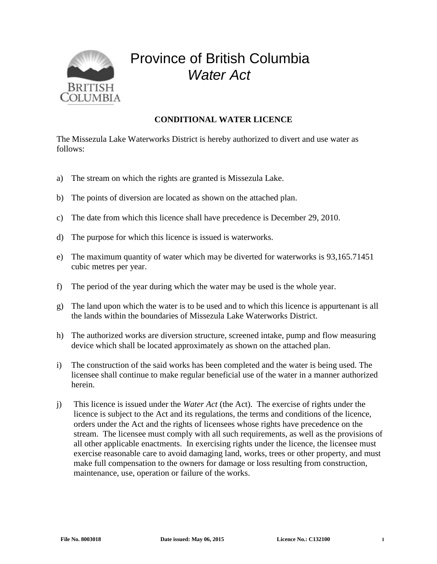

## Province of British Columbia *Water Act*

## **CONDITIONAL WATER LICENCE**

The Missezula Lake Waterworks District is hereby authorized to divert and use water as follows:

- a) The stream on which the rights are granted is Missezula Lake.
- b) The points of diversion are located as shown on the attached plan.
- c) The date from which this licence shall have precedence is December 29, 2010.
- d) The purpose for which this licence is issued is waterworks.
- e) The maximum quantity of water which may be diverted for waterworks is 93,165.71451 cubic metres per year.
- f) The period of the year during which the water may be used is the whole year.
- g) The land upon which the water is to be used and to which this licence is appurtenant is all the lands within the boundaries of Missezula Lake Waterworks District.
- h) The authorized works are diversion structure, screened intake, pump and flow measuring device which shall be located approximately as shown on the attached plan.
- i) The construction of the said works has been completed and the water is being used. The licensee shall continue to make regular beneficial use of the water in a manner authorized herein.
- j) This licence is issued under the *Water Act* (the Act). The exercise of rights under the licence is subject to the Act and its regulations, the terms and conditions of the licence, orders under the Act and the rights of licensees whose rights have precedence on the stream. The licensee must comply with all such requirements, as well as the provisions of all other applicable enactments. In exercising rights under the licence, the licensee must exercise reasonable care to avoid damaging land, works, trees or other property, and must make full compensation to the owners for damage or loss resulting from construction, maintenance, use, operation or failure of the works.